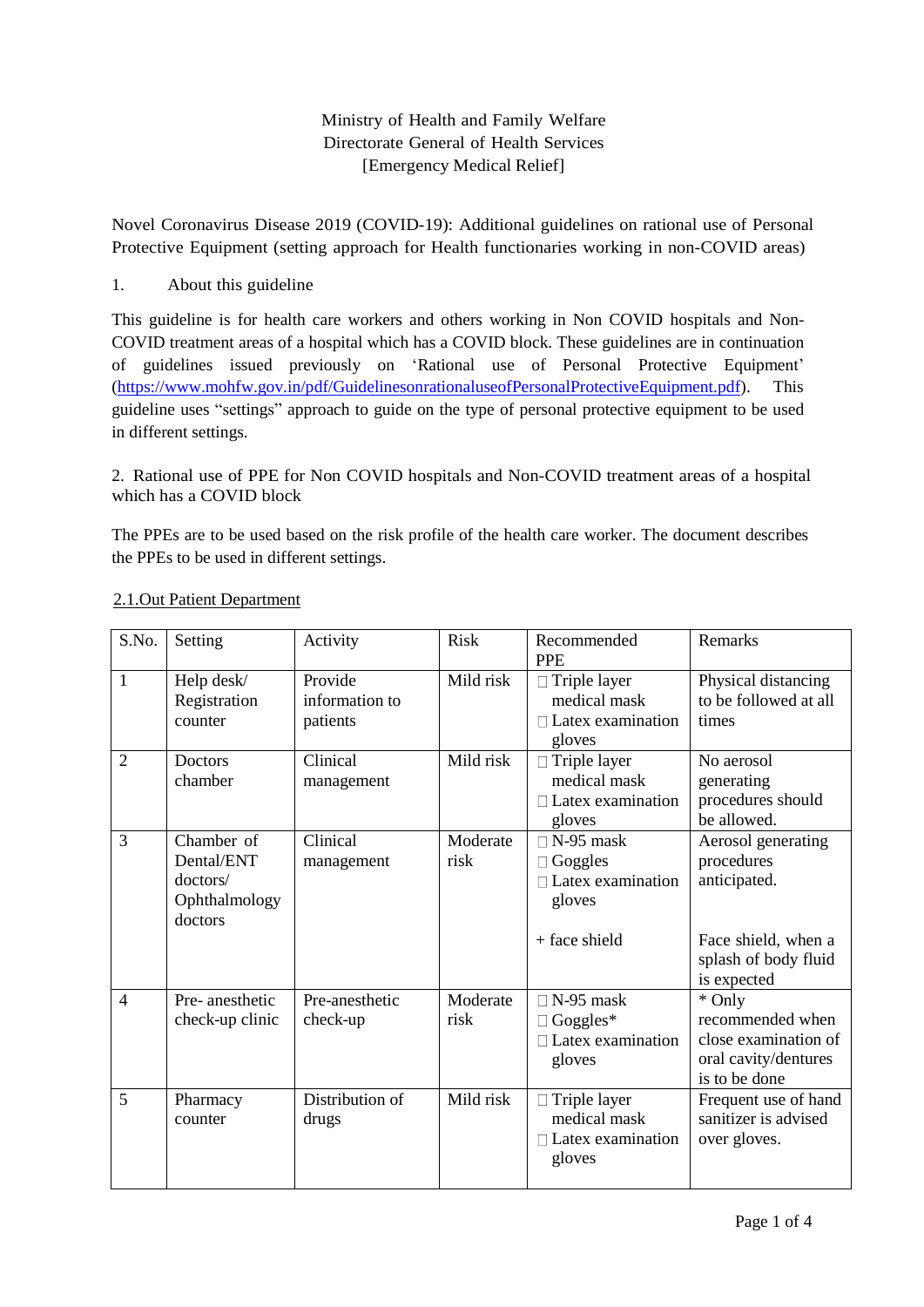### Ministry of Health and Family Welfare Directorate General of Health Services [Emergency Medical Relief]

Novel Coronavirus Disease 2019 (COVID-19): Additional guidelines on rational use of Personal Protective Equipment (setting approach for Health functionaries working in non-COVID areas)

#### 1. About this guideline

This guideline is for health care workers and others working in Non COVID hospitals and Non-COVID treatment areas of a hospital which has a COVID block. These guidelines are in continuation of guidelines issued previously on 'Rational use of Personal Protective Equipment' (https:/[/www.mohfw.gov.in/pdf/GuidelinesonrationaluseofPersonalProtectiveEquipment.pdf\).](http://www.mohfw.gov.in/pdf/GuidelinesonrationaluseofPersonalProtectiveEquipment.pdf)) This guideline uses "settings" approach to guide on the type of personal protective equipment to be used in different settings.

2. Rational use of PPE for Non COVID hospitals and Non-COVID treatment areas of a hospital which has a COVID block

The PPEs are to be used based on the risk profile of the health care worker. The document describes the PPEs to be used in different settings.

| S.No.          | Setting                                                          | Activity                              | <b>Risk</b>      | Recommended<br><b>PPE</b>                                                          | Remarks                                                                                                        |
|----------------|------------------------------------------------------------------|---------------------------------------|------------------|------------------------------------------------------------------------------------|----------------------------------------------------------------------------------------------------------------|
| $\mathbf{1}$   | Help desk/<br>Registration<br>counter                            | Provide<br>information to<br>patients | Mild risk        | $\Box$ Triple layer<br>medical mask<br>$\Box$ Latex examination<br>gloves          | Physical distancing<br>to be followed at all<br>times                                                          |
| $\overline{2}$ | <b>Doctors</b><br>chamber                                        | Clinical<br>management                | Mild risk        | $\Box$ Triple layer<br>medical mask<br>$\Box$ Latex examination<br>gloves          | No aerosol<br>generating<br>procedures should<br>be allowed.                                                   |
| 3              | Chamber of<br>Dental/ENT<br>doctors/<br>Ophthalmology<br>doctors | Clinical<br>management                | Moderate<br>risk | $\Box$ N-95 mask<br>Goggles<br>$\Box$ Latex examination<br>gloves<br>+ face shield | Aerosol generating<br>procedures<br>anticipated.<br>Face shield, when a<br>splash of body fluid<br>is expected |
| $\overline{4}$ | Pre-anesthetic<br>check-up clinic                                | Pre-anesthetic<br>check-up            | Moderate<br>risk | $\Box$ N-95 mask<br>$\Box$ Goggles*<br>$\Box$ Latex examination<br>gloves          | * Only<br>recommended when<br>close examination of<br>oral cavity/dentures<br>is to be done                    |
| 5              | Pharmacy<br>counter                                              | Distribution of<br>drugs              | Mild risk        | □ Triple layer<br>medical mask<br>$\Box$ Latex examination<br>gloves               | Frequent use of hand<br>sanitizer is advised<br>over gloves.                                                   |

#### 2.1.Out Patient Department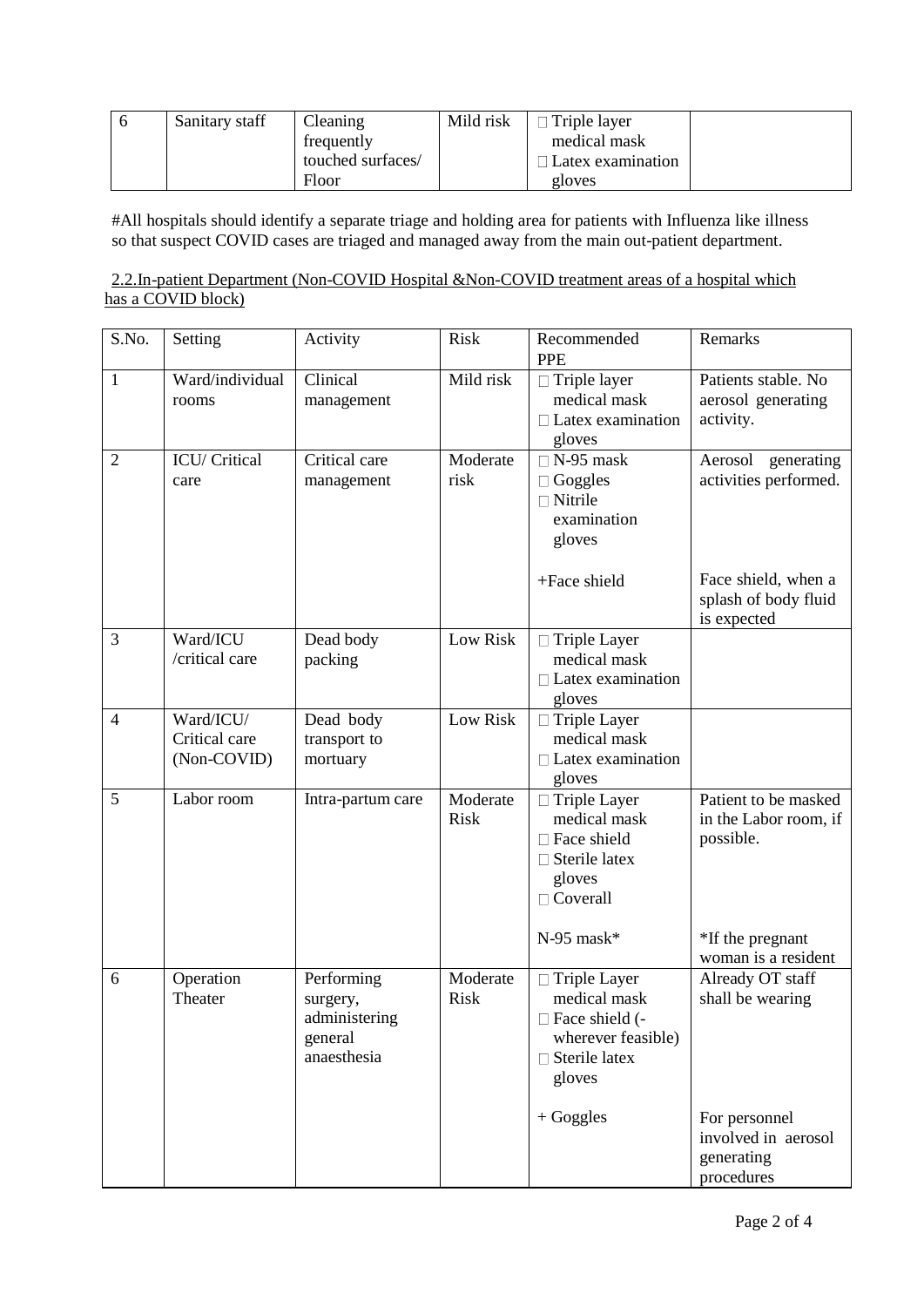| Sanitary staff | Cleaning          | Mild risk | Triple layer      |  |
|----------------|-------------------|-----------|-------------------|--|
|                | frequently        |           | medical mask      |  |
|                | touched surfaces/ |           | Latex examination |  |
|                | Floor             |           | gloves            |  |

#All hospitals should identify a separate triage and holding area for patients with Influenza like illness so that suspect COVID cases are triaged and managed away from the main out-patient department.

#### 2.2.In-patient Department (Non-COVID Hospital &Non-COVID treatment areas of a hospital which has a COVID block)

| S.No.          | Setting                                   | Activity                                                          | <b>Risk</b>             | Recommended<br><b>PPE</b>                                                                                                      | Remarks                                                                                       |
|----------------|-------------------------------------------|-------------------------------------------------------------------|-------------------------|--------------------------------------------------------------------------------------------------------------------------------|-----------------------------------------------------------------------------------------------|
| $\mathbf{1}$   | Ward/individual<br>rooms                  | Clinical<br>management                                            | Mild risk               | $\Box$ Triple layer<br>medical mask<br>$\Box$ Latex examination<br>gloves                                                      | Patients stable. No<br>aerosol generating<br>activity.                                        |
| $\overline{2}$ | ICU/ Critical<br>care                     | Critical care<br>management                                       | Moderate<br>risk        | $\Box$ N-95 mask<br>$\Box$ Goggles<br>$\Box$ Nitrile<br>examination<br>gloves<br>+Face shield                                  | Aerosol<br>generating<br>activities performed.<br>Face shield, when a<br>splash of body fluid |
| 3              | Ward/ICU<br>/critical care                | Dead body<br>packing                                              | Low Risk                | □ Triple Layer<br>medical mask<br>$\Box$ Latex examination<br>gloves                                                           | is expected                                                                                   |
| $\overline{4}$ | Ward/ICU/<br>Critical care<br>(Non-COVID) | Dead body<br>transport to<br>mortuary                             | Low Risk                | $\Box$ Triple Layer<br>medical mask<br>$\Box$ Latex examination<br>gloves                                                      |                                                                                               |
| 5              | Labor room                                | Intra-partum care                                                 | Moderate<br><b>Risk</b> | $\Box$ Triple Layer<br>medical mask<br>□ Face shield<br>$\Box$ Sterile latex<br>gloves<br>$\Box$ Coverall                      | Patient to be masked<br>in the Labor room, if<br>possible.                                    |
|                |                                           |                                                                   |                         | $N-95$ mask*                                                                                                                   | *If the pregnant<br>woman is a resident                                                       |
| 6              | Operation<br>Theater                      | Performing<br>surgery,<br>administering<br>general<br>anaesthesia | Moderate<br>Risk        | $\Box$ Triple Layer<br>medical mask<br>□ Face shield (-<br>wherever feasible)<br>$\Box$ Sterile latex<br>gloves<br>$+ Goggles$ | Already OT staff<br>shall be wearing<br>For personnel<br>involved in aerosol<br>generating    |
|                |                                           |                                                                   |                         |                                                                                                                                | procedures                                                                                    |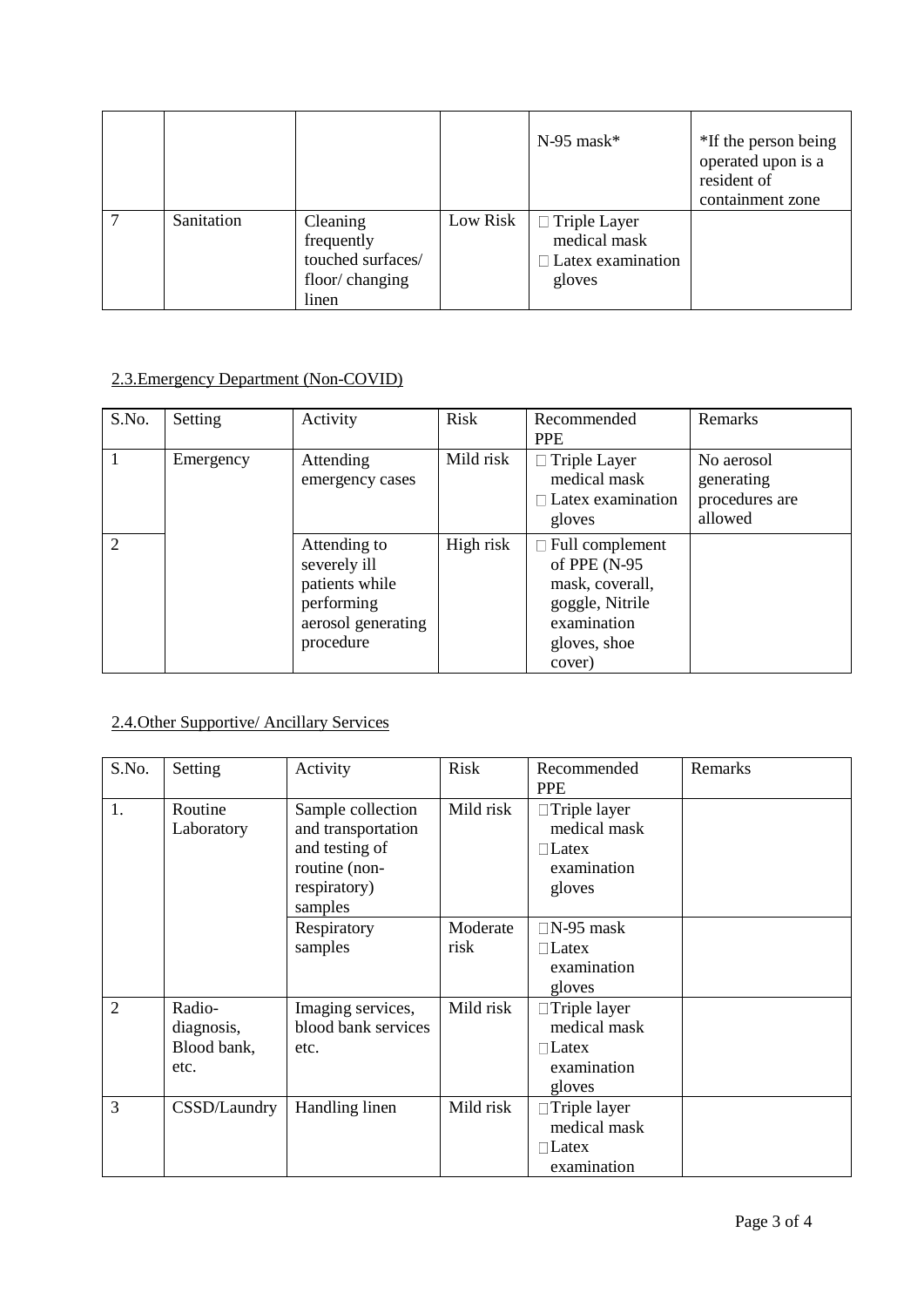|   |            |                                                                        |          | $N-95$ mask*                                                              | *If the person being<br>operated upon is a<br>resident of<br>containment zone |
|---|------------|------------------------------------------------------------------------|----------|---------------------------------------------------------------------------|-------------------------------------------------------------------------------|
| 7 | Sanitation | Cleaning<br>frequently<br>touched surfaces/<br>floor/changing<br>linen | Low Risk | $\Box$ Triple Layer<br>medical mask<br>$\Box$ Latex examination<br>gloves |                                                                               |

# 2.3.Emergency Department (Non-COVID)

| S.No. | Setting   | Activity                                                                                        | Risk      | Recommended<br><b>PPE</b>                                                                                             | Remarks                                               |
|-------|-----------|-------------------------------------------------------------------------------------------------|-----------|-----------------------------------------------------------------------------------------------------------------------|-------------------------------------------------------|
|       | Emergency | Attending<br>emergency cases                                                                    | Mild risk | $\Box$ Triple Layer<br>medical mask<br>$\Box$ Latex examination<br>gloves                                             | No aerosol<br>generating<br>procedures are<br>allowed |
| 2     |           | Attending to<br>severely ill<br>patients while<br>performing<br>aerosol generating<br>procedure | High risk | $\Box$ Full complement<br>of PPE (N-95<br>mask, coverall,<br>goggle, Nitrile<br>examination<br>gloves, shoe<br>cover) |                                                       |

## 2.4.Other Supportive/ Ancillary Services

| S.No.          | Setting                                     | Activity                                                                                              | Risk             | Recommended<br><b>PPE</b>                                                    | Remarks |
|----------------|---------------------------------------------|-------------------------------------------------------------------------------------------------------|------------------|------------------------------------------------------------------------------|---------|
| 1.             | Routine<br>Laboratory                       | Sample collection<br>and transportation<br>and testing of<br>routine (non-<br>respiratory)<br>samples | Mild risk        | $\Box$ Triple layer<br>medical mask<br>$\Box$ Latex<br>examination<br>gloves |         |
|                |                                             | Respiratory<br>samples                                                                                | Moderate<br>risk | $\Box$ N-95 mask<br>$\Box$ Latex<br>examination<br>gloves                    |         |
| $\overline{2}$ | Radio-<br>diagnosis,<br>Blood bank,<br>etc. | Imaging services,<br>blood bank services<br>etc.                                                      | Mild risk        | $\Box$ Triple layer<br>medical mask<br>$\Box$ Latex<br>examination<br>gloves |         |
| $\overline{3}$ | CSSD/Laundry                                | Handling linen                                                                                        | Mild risk        | $\Box$ Triple layer<br>medical mask<br>$\Box$ Latex<br>examination           |         |